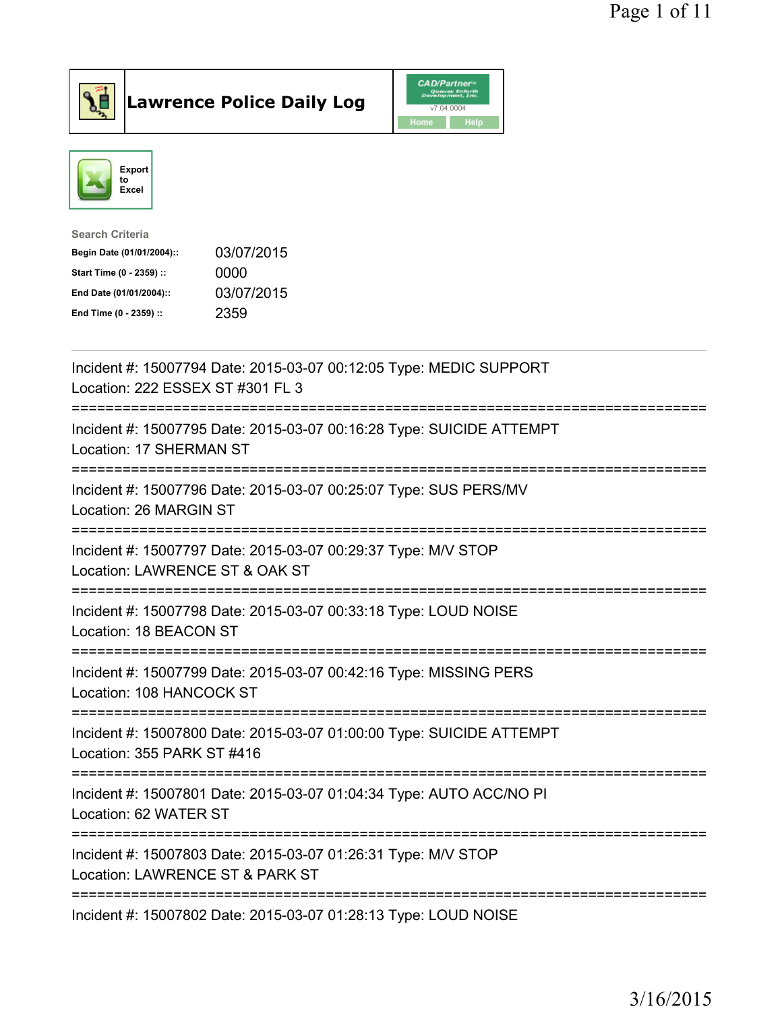

Lawrence Police Daily Log CAD/Partner



| <b>Search Criteria</b>    |            |
|---------------------------|------------|
| Begin Date (01/01/2004):: | 03/07/2015 |
| Start Time (0 - 2359) ::  | 0000       |
| End Date (01/01/2004)::   | 03/07/2015 |
| End Time (0 - 2359) ::    | 2359       |
|                           |            |

| Incident #: 15007794 Date: 2015-03-07 00:12:05 Type: MEDIC SUPPORT<br>Location: 222 ESSEX ST #301 FL 3                                      |
|---------------------------------------------------------------------------------------------------------------------------------------------|
| Incident #: 15007795 Date: 2015-03-07 00:16:28 Type: SUICIDE ATTEMPT<br>Location: 17 SHERMAN ST                                             |
| Incident #: 15007796 Date: 2015-03-07 00:25:07 Type: SUS PERS/MV<br>Location: 26 MARGIN ST<br>--------------                                |
| Incident #: 15007797 Date: 2015-03-07 00:29:37 Type: M/V STOP<br>Location: LAWRENCE ST & OAK ST<br>----------------------                   |
| Incident #: 15007798 Date: 2015-03-07 00:33:18 Type: LOUD NOISE<br>Location: 18 BEACON ST<br>------------------                             |
| Incident #: 15007799 Date: 2015-03-07 00:42:16 Type: MISSING PERS<br>Location: 108 HANCOCK ST                                               |
| -------------------------------------<br>Incident #: 15007800 Date: 2015-03-07 01:00:00 Type: SUICIDE ATTEMPT<br>Location: 355 PARK ST #416 |
| Incident #: 15007801 Date: 2015-03-07 01:04:34 Type: AUTO ACC/NO PI<br>Location: 62 WATER ST                                                |
| Incident #: 15007803 Date: 2015-03-07 01:26:31 Type: M/V STOP<br>Location: LAWRENCE ST & PARK ST                                            |
| Incident #: 15007802 Date: 2015-03-07 01:28:13 Type: LOUD NOISE                                                                             |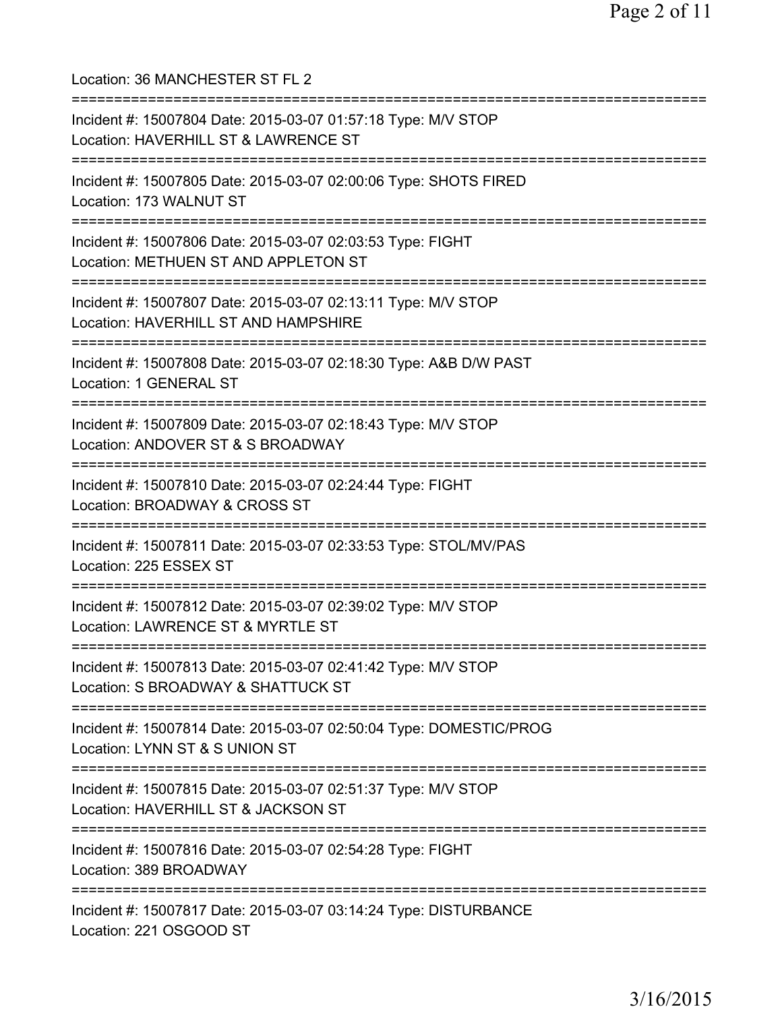Location: 36 MANCHESTER ST FL 2 =========================================================================== Incident #: 15007804 Date: 2015-03-07 01:57:18 Type: M/V STOP Location: HAVERHILL ST & LAWRENCE ST =========================================================================== Incident #: 15007805 Date: 2015-03-07 02:00:06 Type: SHOTS FIRED Location: 173 WALNUT ST =========================================================================== Incident #: 15007806 Date: 2015-03-07 02:03:53 Type: FIGHT Location: METHUEN ST AND APPLETON ST =========================================================================== Incident #: 15007807 Date: 2015-03-07 02:13:11 Type: M/V STOP Location: HAVERHILL ST AND HAMPSHIRE =========================================================================== Incident #: 15007808 Date: 2015-03-07 02:18:30 Type: A&B D/W PAST Location: 1 GENERAL ST =========================================================================== Incident #: 15007809 Date: 2015-03-07 02:18:43 Type: M/V STOP Location: ANDOVER ST & S BROADWAY =========================================================================== Incident #: 15007810 Date: 2015-03-07 02:24:44 Type: FIGHT Location: BROADWAY & CROSS ST =========================================================================== Incident #: 15007811 Date: 2015-03-07 02:33:53 Type: STOL/MV/PAS Location: 225 ESSEX ST =========================================================================== Incident #: 15007812 Date: 2015-03-07 02:39:02 Type: M/V STOP Location: LAWRENCE ST & MYRTLE ST =========================================================================== Incident #: 15007813 Date: 2015-03-07 02:41:42 Type: M/V STOP Location: S BROADWAY & SHATTUCK ST =========================================================================== Incident #: 15007814 Date: 2015-03-07 02:50:04 Type: DOMESTIC/PROG Location: LYNN ST & S UNION ST =========================================================================== Incident #: 15007815 Date: 2015-03-07 02:51:37 Type: M/V STOP Location: HAVERHILL ST & JACKSON ST =========================================================================== Incident #: 15007816 Date: 2015-03-07 02:54:28 Type: FIGHT Location: 389 BROADWAY =========================================================================== Incident #: 15007817 Date: 2015-03-07 03:14:24 Type: DISTURBANCE Location: 221 OSGOOD ST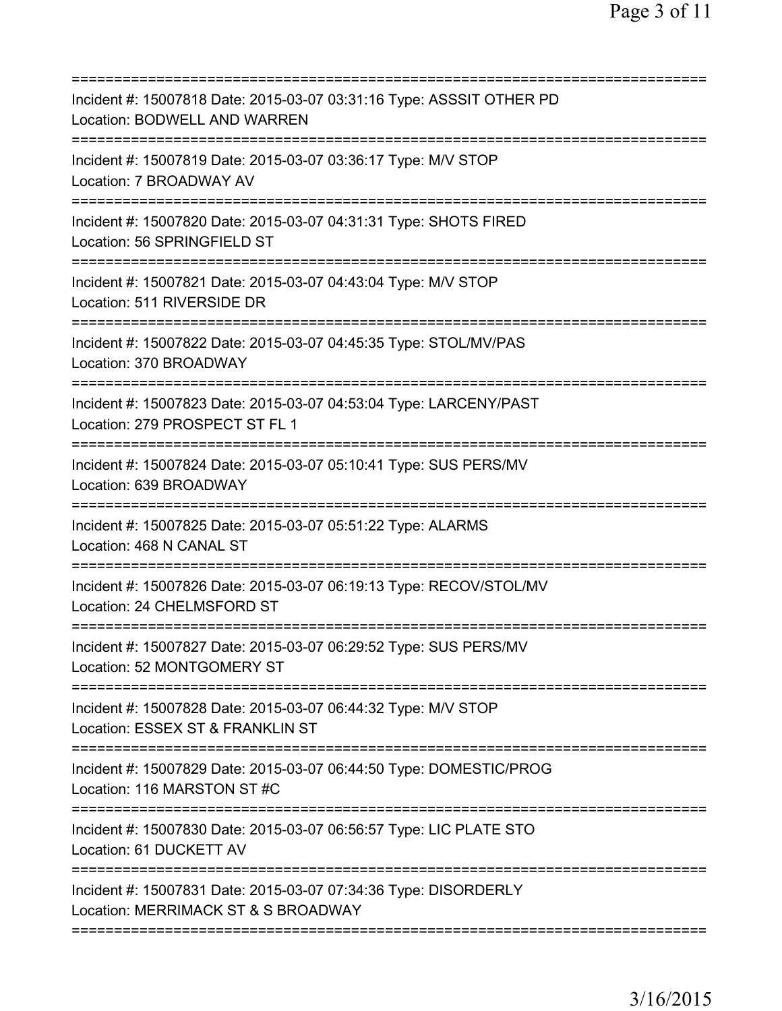| Incident #: 15007818 Date: 2015-03-07 03:31:16 Type: ASSSIT OTHER PD<br>Location: BODWELL AND WARREN                                    |
|-----------------------------------------------------------------------------------------------------------------------------------------|
| Incident #: 15007819 Date: 2015-03-07 03:36:17 Type: M/V STOP<br>Location: 7 BROADWAY AV                                                |
| Incident #: 15007820 Date: 2015-03-07 04:31:31 Type: SHOTS FIRED<br>Location: 56 SPRINGFIELD ST                                         |
| Incident #: 15007821 Date: 2015-03-07 04:43:04 Type: M/V STOP<br>Location: 511 RIVERSIDE DR                                             |
| Incident #: 15007822 Date: 2015-03-07 04:45:35 Type: STOL/MV/PAS<br>Location: 370 BROADWAY                                              |
| Incident #: 15007823 Date: 2015-03-07 04:53:04 Type: LARCENY/PAST<br>Location: 279 PROSPECT ST FL 1                                     |
| Incident #: 15007824 Date: 2015-03-07 05:10:41 Type: SUS PERS/MV<br>Location: 639 BROADWAY                                              |
| Incident #: 15007825 Date: 2015-03-07 05:51:22 Type: ALARMS<br>Location: 468 N CANAL ST                                                 |
| Incident #: 15007826 Date: 2015-03-07 06:19:13 Type: RECOV/STOL/MV<br>Location: 24 CHELMSFORD ST                                        |
| Incident #: 15007827 Date: 2015-03-07 06:29:52 Type: SUS PERS/MV<br>Location: 52 MONTGOMERY ST                                          |
| ==================================<br>Incident #: 15007828 Date: 2015-03-07 06:44:32 Type: M/V STOP<br>Location: ESSEX ST & FRANKLIN ST |
| Incident #: 15007829 Date: 2015-03-07 06:44:50 Type: DOMESTIC/PROG<br>Location: 116 MARSTON ST #C                                       |
| Incident #: 15007830 Date: 2015-03-07 06:56:57 Type: LIC PLATE STO<br>Location: 61 DUCKETT AV                                           |
| Incident #: 15007831 Date: 2015-03-07 07:34:36 Type: DISORDERLY<br>Location: MERRIMACK ST & S BROADWAY                                  |
|                                                                                                                                         |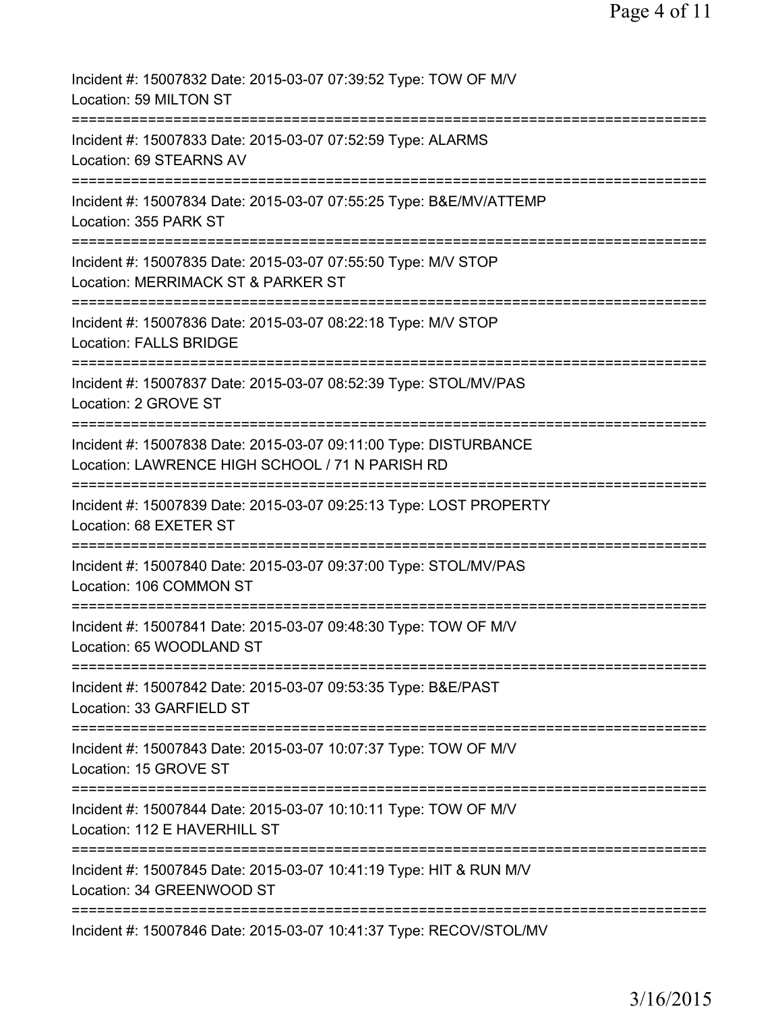| Incident #: 15007832 Date: 2015-03-07 07:39:52 Type: TOW OF M/V<br>Location: 59 MILTON ST                           |
|---------------------------------------------------------------------------------------------------------------------|
| Incident #: 15007833 Date: 2015-03-07 07:52:59 Type: ALARMS<br>Location: 69 STEARNS AV                              |
| Incident #: 15007834 Date: 2015-03-07 07:55:25 Type: B&E/MV/ATTEMP<br>Location: 355 PARK ST                         |
| Incident #: 15007835 Date: 2015-03-07 07:55:50 Type: M/V STOP<br>Location: MERRIMACK ST & PARKER ST                 |
| Incident #: 15007836 Date: 2015-03-07 08:22:18 Type: M/V STOP<br><b>Location: FALLS BRIDGE</b>                      |
| Incident #: 15007837 Date: 2015-03-07 08:52:39 Type: STOL/MV/PAS<br>Location: 2 GROVE ST                            |
| Incident #: 15007838 Date: 2015-03-07 09:11:00 Type: DISTURBANCE<br>Location: LAWRENCE HIGH SCHOOL / 71 N PARISH RD |
| Incident #: 15007839 Date: 2015-03-07 09:25:13 Type: LOST PROPERTY<br>Location: 68 EXETER ST                        |
| Incident #: 15007840 Date: 2015-03-07 09:37:00 Type: STOL/MV/PAS<br>Location: 106 COMMON ST                         |
| Incident #: 15007841 Date: 2015-03-07 09:48:30 Type: TOW OF M/V<br>Location: 65 WOODLAND ST                         |
| Incident #: 15007842 Date: 2015-03-07 09:53:35 Type: B&E/PAST<br>Location: 33 GARFIELD ST                           |
| Incident #: 15007843 Date: 2015-03-07 10:07:37 Type: TOW OF M/V<br>Location: 15 GROVE ST                            |
| Incident #: 15007844 Date: 2015-03-07 10:10:11 Type: TOW OF M/V<br>Location: 112 E HAVERHILL ST                     |
| Incident #: 15007845 Date: 2015-03-07 10:41:19 Type: HIT & RUN M/V<br>Location: 34 GREENWOOD ST                     |
| Incident #: 15007846 Date: 2015-03-07 10:41:37 Type: RECOV/STOL/MV                                                  |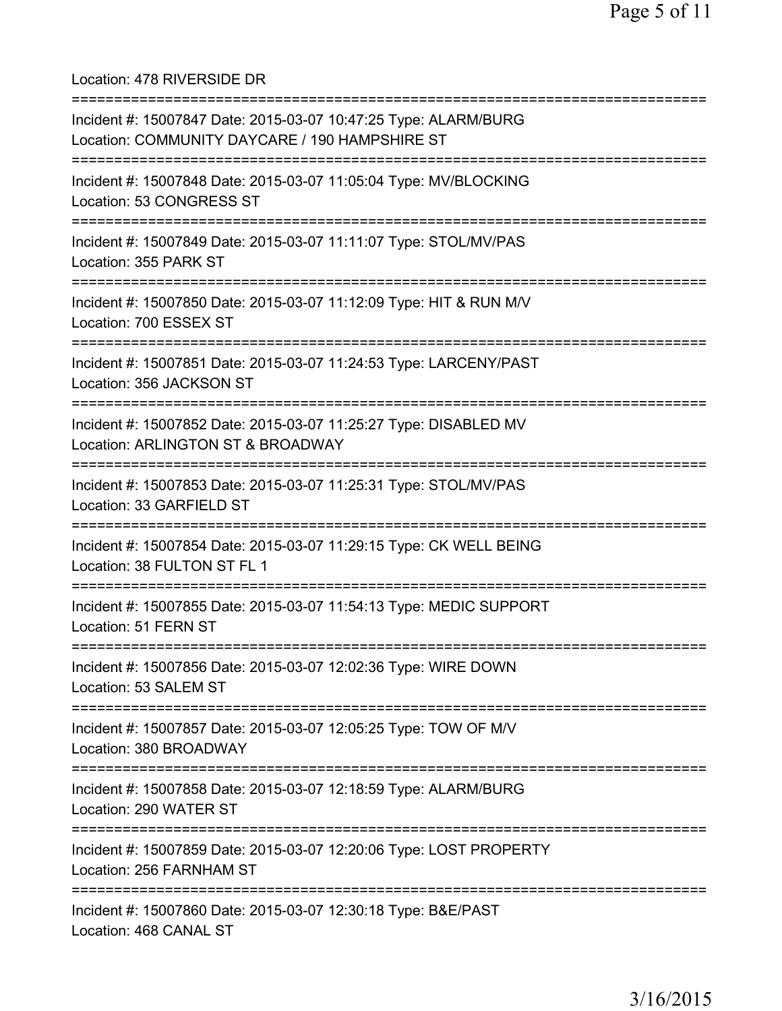Location: 478 RIVERSIDE DR

| Incident #: 15007847 Date: 2015-03-07 10:47:25 Type: ALARM/BURG<br>Location: COMMUNITY DAYCARE / 190 HAMPSHIRE ST                             |
|-----------------------------------------------------------------------------------------------------------------------------------------------|
| Incident #: 15007848 Date: 2015-03-07 11:05:04 Type: MV/BLOCKING<br>Location: 53 CONGRESS ST                                                  |
| Incident #: 15007849 Date: 2015-03-07 11:11:07 Type: STOL/MV/PAS<br>Location: 355 PARK ST                                                     |
| Incident #: 15007850 Date: 2015-03-07 11:12:09 Type: HIT & RUN M/V<br>Location: 700 ESSEX ST                                                  |
| Incident #: 15007851 Date: 2015-03-07 11:24:53 Type: LARCENY/PAST<br>Location: 356 JACKSON ST                                                 |
| ====================================<br>Incident #: 15007852 Date: 2015-03-07 11:25:27 Type: DISABLED MV<br>Location: ARLINGTON ST & BROADWAY |
| :=========================<br>Incident #: 15007853 Date: 2015-03-07 11:25:31 Type: STOL/MV/PAS<br>Location: 33 GARFIELD ST                    |
| Incident #: 15007854 Date: 2015-03-07 11:29:15 Type: CK WELL BEING<br>Location: 38 FULTON ST FL 1                                             |
| Incident #: 15007855 Date: 2015-03-07 11:54:13 Type: MEDIC SUPPORT<br>Location: 51 FERN ST                                                    |
| Incident #: 15007856 Date: 2015-03-07 12:02:36 Type: WIRE DOWN<br>Location: 53 SALEM ST                                                       |
| Incident #: 15007857 Date: 2015-03-07 12:05:25 Type: TOW OF M/V<br>Location: 380 BROADWAY                                                     |
| Incident #: 15007858 Date: 2015-03-07 12:18:59 Type: ALARM/BURG<br>Location: 290 WATER ST                                                     |
| Incident #: 15007859 Date: 2015-03-07 12:20:06 Type: LOST PROPERTY<br>Location: 256 FARNHAM ST                                                |
| Incident #: 15007860 Date: 2015-03-07 12:30:18 Type: B&E/PAST<br>Location: 468 CANAL ST                                                       |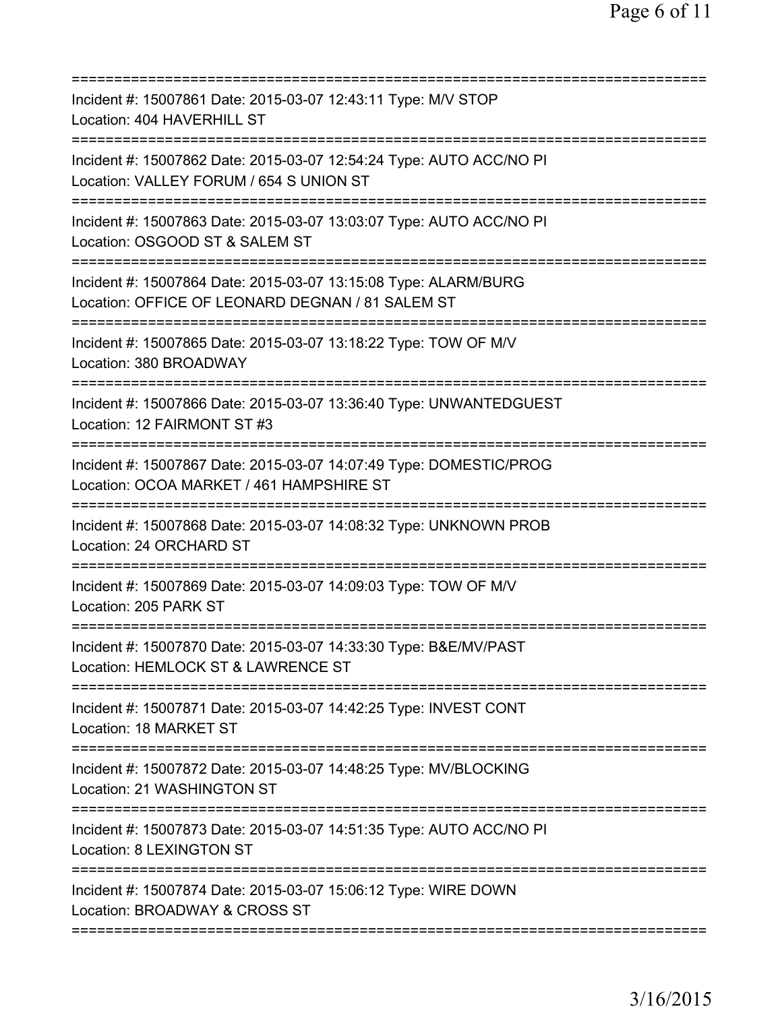| Incident #: 15007861 Date: 2015-03-07 12:43:11 Type: M/V STOP<br>Location: 404 HAVERHILL ST                                      |
|----------------------------------------------------------------------------------------------------------------------------------|
| Incident #: 15007862 Date: 2015-03-07 12:54:24 Type: AUTO ACC/NO PI<br>Location: VALLEY FORUM / 654 S UNION ST                   |
| Incident #: 15007863 Date: 2015-03-07 13:03:07 Type: AUTO ACC/NO PI<br>Location: OSGOOD ST & SALEM ST<br>======================= |
| Incident #: 15007864 Date: 2015-03-07 13:15:08 Type: ALARM/BURG<br>Location: OFFICE OF LEONARD DEGNAN / 81 SALEM ST              |
| Incident #: 15007865 Date: 2015-03-07 13:18:22 Type: TOW OF M/V<br>Location: 380 BROADWAY                                        |
| Incident #: 15007866 Date: 2015-03-07 13:36:40 Type: UNWANTEDGUEST<br>Location: 12 FAIRMONT ST #3                                |
| Incident #: 15007867 Date: 2015-03-07 14:07:49 Type: DOMESTIC/PROG<br>Location: OCOA MARKET / 461 HAMPSHIRE ST                   |
| Incident #: 15007868 Date: 2015-03-07 14:08:32 Type: UNKNOWN PROB<br>Location: 24 ORCHARD ST                                     |
| Incident #: 15007869 Date: 2015-03-07 14:09:03 Type: TOW OF M/V<br>Location: 205 PARK ST                                         |
| Incident #: 15007870 Date: 2015-03-07 14:33:30 Type: B&E/MV/PAST<br>Location: HEMLOCK ST & LAWRENCE ST                           |
| Incident #: 15007871 Date: 2015-03-07 14:42:25 Type: INVEST CONT<br>Location: 18 MARKET ST                                       |
| Incident #: 15007872 Date: 2015-03-07 14:48:25 Type: MV/BLOCKING<br>Location: 21 WASHINGTON ST                                   |
| Incident #: 15007873 Date: 2015-03-07 14:51:35 Type: AUTO ACC/NO PI<br>Location: 8 LEXINGTON ST                                  |
| Incident #: 15007874 Date: 2015-03-07 15:06:12 Type: WIRE DOWN<br>Location: BROADWAY & CROSS ST                                  |
|                                                                                                                                  |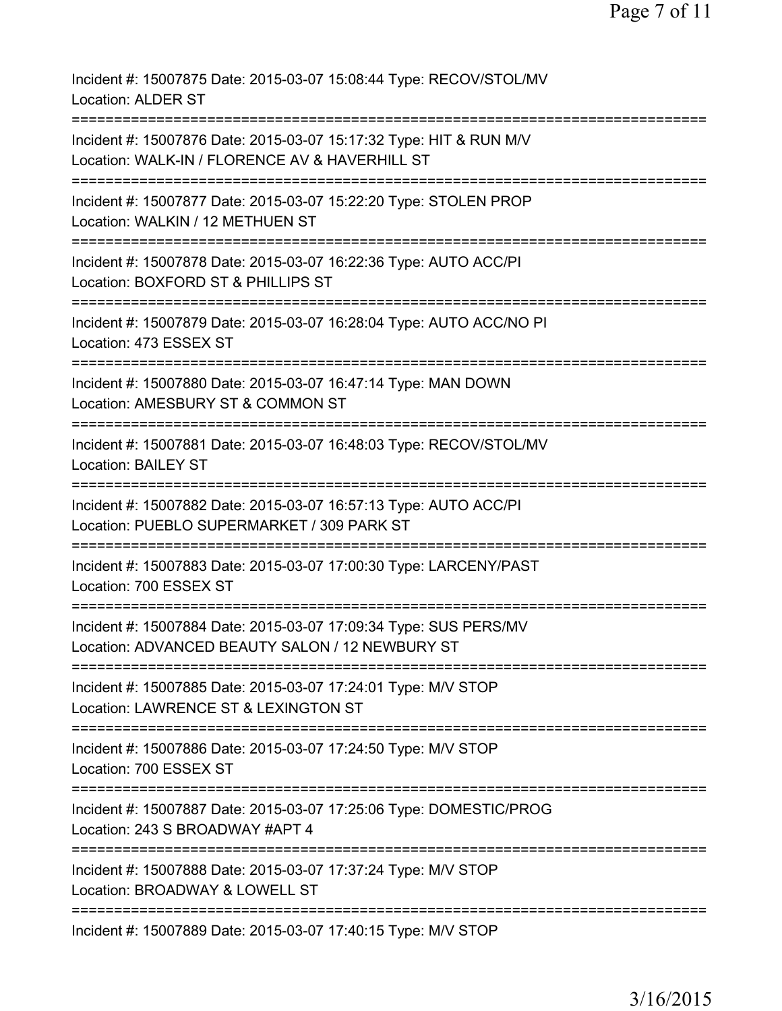Incident #: 15007875 Date: 2015-03-07 15:08:44 Type: RECOV/STOL/MV Location: ALDER ST =========================================================================== Incident #: 15007876 Date: 2015-03-07 15:17:32 Type: HIT & RUN M/V Location: WALK-IN / FLORENCE AV & HAVERHILL ST =========================================================================== Incident #: 15007877 Date: 2015-03-07 15:22:20 Type: STOLEN PROP Location: WALKIN / 12 METHUEN ST =========================================================================== Incident #: 15007878 Date: 2015-03-07 16:22:36 Type: AUTO ACC/PI Location: BOXFORD ST & PHILLIPS ST =========================================================================== Incident #: 15007879 Date: 2015-03-07 16:28:04 Type: AUTO ACC/NO PI Location: 473 ESSEX ST =========================================================================== Incident #: 15007880 Date: 2015-03-07 16:47:14 Type: MAN DOWN Location: AMESBURY ST & COMMON ST =========================================================================== Incident #: 15007881 Date: 2015-03-07 16:48:03 Type: RECOV/STOL/MV Location: BAILEY ST =========================================================================== Incident #: 15007882 Date: 2015-03-07 16:57:13 Type: AUTO ACC/PI Location: PUEBLO SUPERMARKET / 309 PARK ST =========================================================================== Incident #: 15007883 Date: 2015-03-07 17:00:30 Type: LARCENY/PAST Location: 700 ESSEX ST =========================================================================== Incident #: 15007884 Date: 2015-03-07 17:09:34 Type: SUS PERS/MV Location: ADVANCED BEAUTY SALON / 12 NEWBURY ST =========================================================================== Incident #: 15007885 Date: 2015-03-07 17:24:01 Type: M/V STOP Location: LAWRENCE ST & LEXINGTON ST =========================================================================== Incident #: 15007886 Date: 2015-03-07 17:24:50 Type: M/V STOP Location: 700 ESSEX ST =========================================================================== Incident #: 15007887 Date: 2015-03-07 17:25:06 Type: DOMESTIC/PROG Location: 243 S BROADWAY #APT 4 =========================================================================== Incident #: 15007888 Date: 2015-03-07 17:37:24 Type: M/V STOP Location: BROADWAY & LOWELL ST =========================================================================== Incident #: 15007889 Date: 2015-03-07 17:40:15 Type: M/V STOP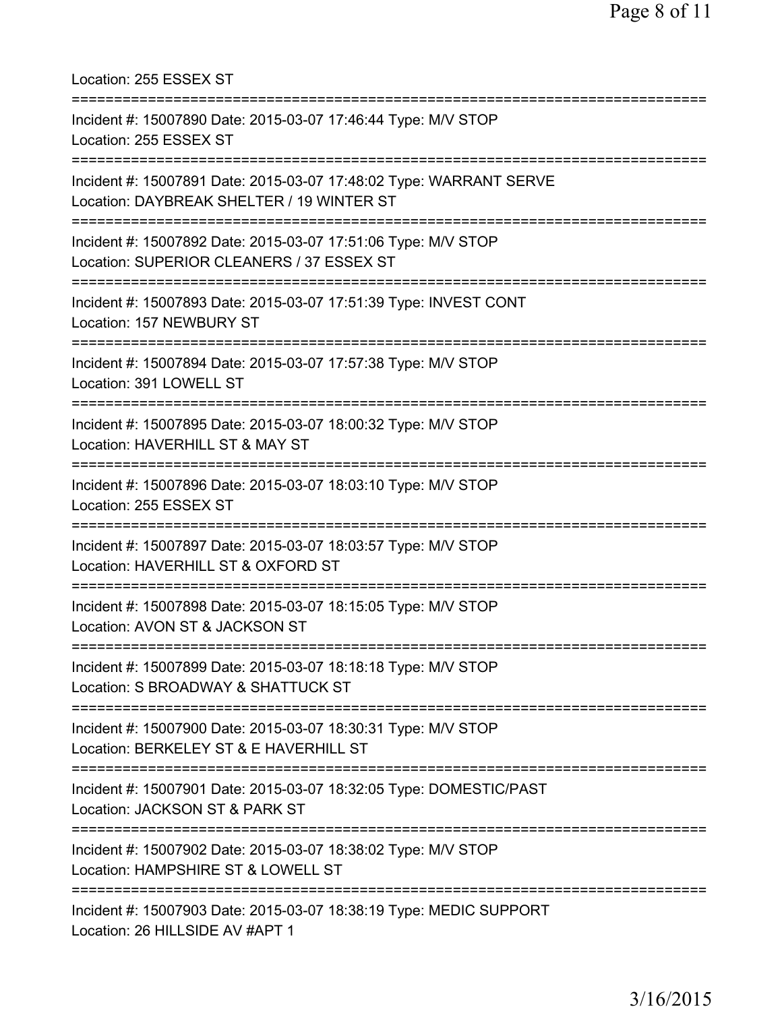| Location: 255 ESSEX ST                                                                                                                             |
|----------------------------------------------------------------------------------------------------------------------------------------------------|
| Incident #: 15007890 Date: 2015-03-07 17:46:44 Type: M/V STOP<br>Location: 255 ESSEX ST                                                            |
| Incident #: 15007891 Date: 2015-03-07 17:48:02 Type: WARRANT SERVE<br>Location: DAYBREAK SHELTER / 19 WINTER ST                                    |
| Incident #: 15007892 Date: 2015-03-07 17:51:06 Type: M/V STOP<br>Location: SUPERIOR CLEANERS / 37 ESSEX ST<br>:=================================== |
| Incident #: 15007893 Date: 2015-03-07 17:51:39 Type: INVEST CONT<br>Location: 157 NEWBURY ST                                                       |
| :=================================<br>Incident #: 15007894 Date: 2015-03-07 17:57:38 Type: M/V STOP<br>Location: 391 LOWELL ST                     |
| Incident #: 15007895 Date: 2015-03-07 18:00:32 Type: M/V STOP<br>Location: HAVERHILL ST & MAY ST                                                   |
| Incident #: 15007896 Date: 2015-03-07 18:03:10 Type: M/V STOP<br>Location: 255 ESSEX ST                                                            |
| Incident #: 15007897 Date: 2015-03-07 18:03:57 Type: M/V STOP<br>Location: HAVERHILL ST & OXFORD ST                                                |
| Incident #: 15007898 Date: 2015-03-07 18:15:05 Type: M/V STOP<br>Location: AVON ST & JACKSON ST                                                    |
| Incident #: 15007899 Date: 2015-03-07 18:18:18 Type: M/V STOP<br>Location: S BROADWAY & SHATTUCK ST                                                |
| Incident #: 15007900 Date: 2015-03-07 18:30:31 Type: M/V STOP<br>Location: BERKELEY ST & E HAVERHILL ST                                            |
| Incident #: 15007901 Date: 2015-03-07 18:32:05 Type: DOMESTIC/PAST<br>Location: JACKSON ST & PARK ST                                               |
| Incident #: 15007902 Date: 2015-03-07 18:38:02 Type: M/V STOP<br>Location: HAMPSHIRE ST & LOWELL ST                                                |
| Incident #: 15007903 Date: 2015-03-07 18:38:19 Type: MEDIC SUPPORT<br>Location: 26 HILLSIDE AV #APT 1                                              |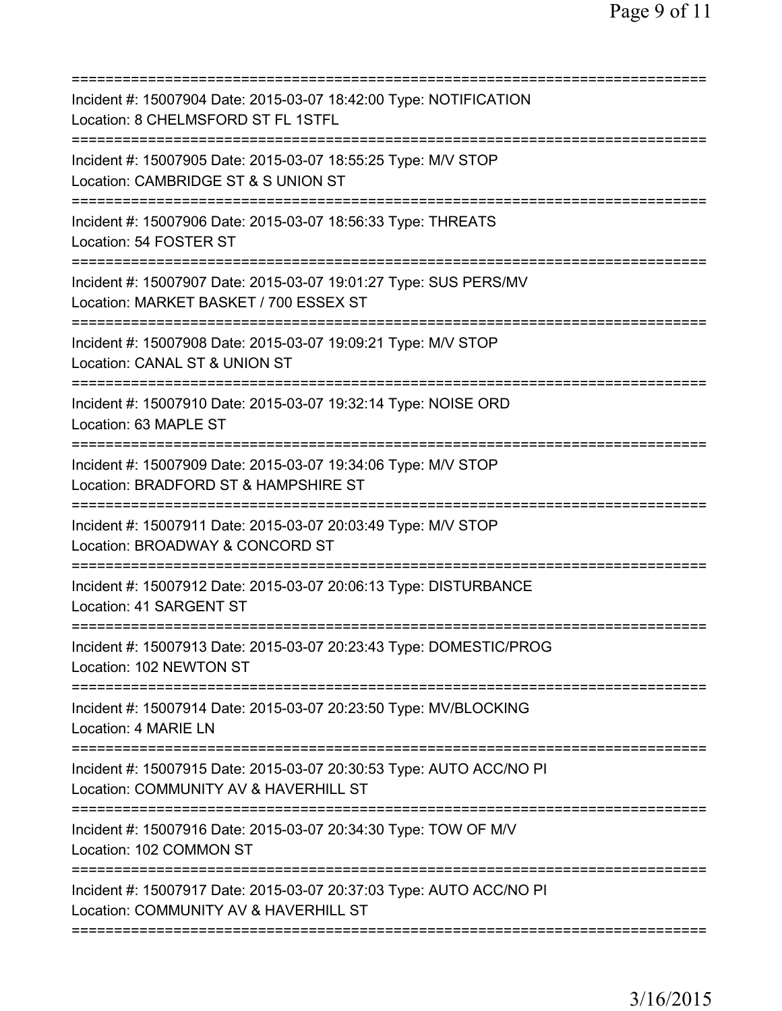| Incident #: 15007904 Date: 2015-03-07 18:42:00 Type: NOTIFICATION<br>Location: 8 CHELMSFORD ST FL 1STFL<br>===========================  |
|-----------------------------------------------------------------------------------------------------------------------------------------|
| Incident #: 15007905 Date: 2015-03-07 18:55:25 Type: M/V STOP<br>Location: CAMBRIDGE ST & S UNION ST<br>=============================== |
| Incident #: 15007906 Date: 2015-03-07 18:56:33 Type: THREATS<br>Location: 54 FOSTER ST                                                  |
| Incident #: 15007907 Date: 2015-03-07 19:01:27 Type: SUS PERS/MV<br>Location: MARKET BASKET / 700 ESSEX ST                              |
| Incident #: 15007908 Date: 2015-03-07 19:09:21 Type: M/V STOP<br>Location: CANAL ST & UNION ST                                          |
| Incident #: 15007910 Date: 2015-03-07 19:32:14 Type: NOISE ORD<br>Location: 63 MAPLE ST<br>=====================================        |
| Incident #: 15007909 Date: 2015-03-07 19:34:06 Type: M/V STOP<br>Location: BRADFORD ST & HAMPSHIRE ST                                   |
| Incident #: 15007911 Date: 2015-03-07 20:03:49 Type: M/V STOP<br>Location: BROADWAY & CONCORD ST<br>============================        |
| Incident #: 15007912 Date: 2015-03-07 20:06:13 Type: DISTURBANCE<br>Location: 41 SARGENT ST                                             |
| Incident #: 15007913 Date: 2015-03-07 20:23:43 Type: DOMESTIC/PROG<br>Location: 102 NEWTON ST                                           |
| ---------------------------------<br>Incident #: 15007914 Date: 2015-03-07 20:23:50 Type: MV/BLOCKING<br>Location: 4 MARIE LN           |
| Incident #: 15007915 Date: 2015-03-07 20:30:53 Type: AUTO ACC/NO PI<br>Location: COMMUNITY AV & HAVERHILL ST                            |
| Incident #: 15007916 Date: 2015-03-07 20:34:30 Type: TOW OF M/V<br>Location: 102 COMMON ST                                              |
| Incident #: 15007917 Date: 2015-03-07 20:37:03 Type: AUTO ACC/NO PI<br>Location: COMMUNITY AV & HAVERHILL ST                            |
|                                                                                                                                         |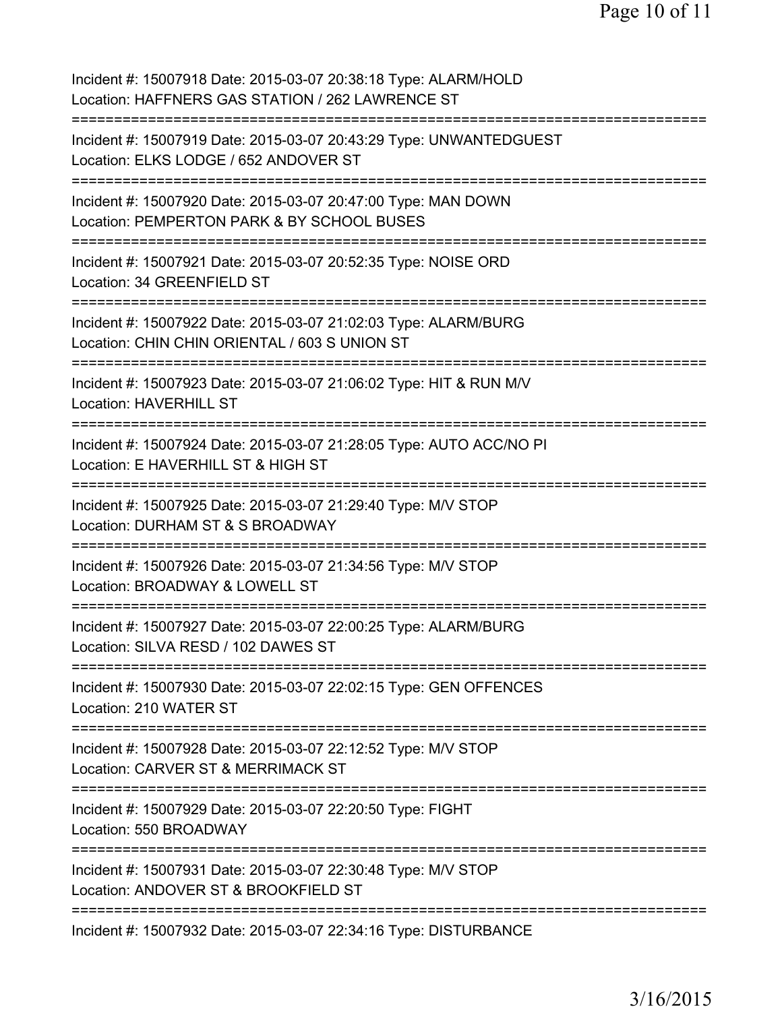| Incident #: 15007918 Date: 2015-03-07 20:38:18 Type: ALARM/HOLD<br>Location: HAFFNERS GAS STATION / 262 LAWRENCE ST                            |
|------------------------------------------------------------------------------------------------------------------------------------------------|
| Incident #: 15007919 Date: 2015-03-07 20:43:29 Type: UNWANTEDGUEST<br>Location: ELKS LODGE / 652 ANDOVER ST                                    |
| Incident #: 15007920 Date: 2015-03-07 20:47:00 Type: MAN DOWN<br>Location: PEMPERTON PARK & BY SCHOOL BUSES                                    |
| Incident #: 15007921 Date: 2015-03-07 20:52:35 Type: NOISE ORD<br>Location: 34 GREENFIELD ST                                                   |
| Incident #: 15007922 Date: 2015-03-07 21:02:03 Type: ALARM/BURG<br>Location: CHIN CHIN ORIENTAL / 603 S UNION ST                               |
| Incident #: 15007923 Date: 2015-03-07 21:06:02 Type: HIT & RUN M/V<br><b>Location: HAVERHILL ST</b><br>======================                  |
| Incident #: 15007924 Date: 2015-03-07 21:28:05 Type: AUTO ACC/NO PI<br>Location: E HAVERHILL ST & HIGH ST                                      |
| Incident #: 15007925 Date: 2015-03-07 21:29:40 Type: M/V STOP<br>Location: DURHAM ST & S BROADWAY<br>======================<br>=============== |
| Incident #: 15007926 Date: 2015-03-07 21:34:56 Type: M/V STOP<br>Location: BROADWAY & LOWELL ST                                                |
| Incident #: 15007927 Date: 2015-03-07 22:00:25 Type: ALARM/BURG<br>Location: SILVA RESD / 102 DAWES ST                                         |
| Incident #: 15007930 Date: 2015-03-07 22:02:15 Type: GEN OFFENCES<br>Location: 210 WATER ST                                                    |
| Incident #: 15007928 Date: 2015-03-07 22:12:52 Type: M/V STOP<br>Location: CARVER ST & MERRIMACK ST                                            |
| Incident #: 15007929 Date: 2015-03-07 22:20:50 Type: FIGHT<br>Location: 550 BROADWAY                                                           |
| Incident #: 15007931 Date: 2015-03-07 22:30:48 Type: M/V STOP<br>Location: ANDOVER ST & BROOKFIELD ST                                          |
| Incident #: 15007932 Date: 2015-03-07 22:34:16 Type: DISTURBANCE                                                                               |